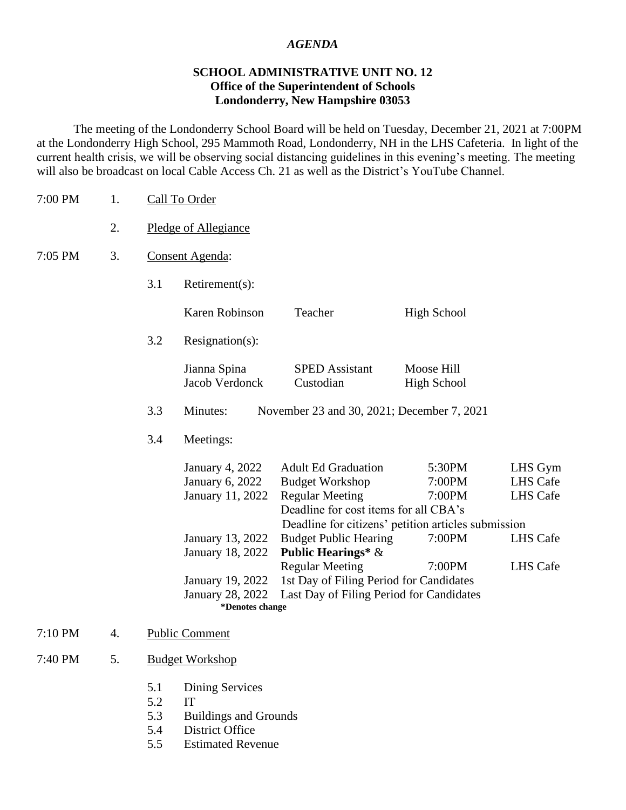### *AGENDA*

# **SCHOOL ADMINISTRATIVE UNIT NO. 12 Office of the Superintendent of Schools Londonderry, New Hampshire 03053**

The meeting of the Londonderry School Board will be held on Tuesday, December 21, 2021 at 7:00PM at the Londonderry High School, 295 Mammoth Road, Londonderry, NH in the LHS Cafeteria. In light of the current health crisis, we will be observing social distancing guidelines in this evening's meeting. The meeting will also be broadcast on local Cable Access Ch. 21 as well as the District's YouTube Channel.

| 7:00 PM | 1. |                          | Call To Order                                                            |                                                                                                                                                |                                  |                                               |  |  |
|---------|----|--------------------------|--------------------------------------------------------------------------|------------------------------------------------------------------------------------------------------------------------------------------------|----------------------------------|-----------------------------------------------|--|--|
|         | 2. |                          | Pledge of Allegiance                                                     |                                                                                                                                                |                                  |                                               |  |  |
| 7:05 PM | 3. |                          | Consent Agenda:                                                          |                                                                                                                                                |                                  |                                               |  |  |
|         |    | 3.1                      | Retirement(s):                                                           |                                                                                                                                                |                                  |                                               |  |  |
|         |    |                          | Karen Robinson                                                           | Teacher                                                                                                                                        | <b>High School</b>               |                                               |  |  |
|         |    | 3.2                      | $Resignation(s)$ :                                                       |                                                                                                                                                |                                  |                                               |  |  |
|         |    |                          | Jianna Spina<br>Jacob Verdonck                                           | <b>SPED</b> Assistant<br>Custodian                                                                                                             | Moose Hill<br><b>High School</b> |                                               |  |  |
|         |    | 3.3                      | Minutes:                                                                 | November 23 and 30, 2021; December 7, 2021                                                                                                     |                                  |                                               |  |  |
|         |    | 3.4                      | Meetings:                                                                |                                                                                                                                                |                                  |                                               |  |  |
|         |    |                          | <b>January 4, 2022</b><br><b>January 6, 2022</b><br>January 11, 2022     | <b>Adult Ed Graduation</b><br><b>Budget Workshop</b><br><b>Regular Meeting</b><br>Deadline for cost items for all CBA's                        | 5:30PM<br>7:00PM<br>7:00PM       | LHS Gym<br><b>LHS</b> Cafe<br><b>LHS</b> Cafe |  |  |
|         |    |                          | January 13, 2022<br>January 18, 2022                                     | Deadline for citizens' petition articles submission<br><b>Budget Public Hearing</b><br><b>Public Hearings* &amp;</b><br><b>Regular Meeting</b> | 7:00PM<br>7:00PM                 | LHS Cafe<br><b>LHS</b> Cafe                   |  |  |
|         |    |                          | January 19, 2022<br><b>January 28, 2022</b><br>*Denotes change           | 1st Day of Filing Period for Candidates<br>Last Day of Filing Period for Candidates                                                            |                                  |                                               |  |  |
| 7:10 PM | 4. |                          | <b>Public Comment</b>                                                    |                                                                                                                                                |                                  |                                               |  |  |
| 7:40 PM | 5. |                          | <b>Budget Workshop</b>                                                   |                                                                                                                                                |                                  |                                               |  |  |
|         |    | 5.1<br>5.2<br>5.3<br>5.4 | Dining Services<br>IT<br><b>Buildings and Grounds</b><br>District Office |                                                                                                                                                |                                  |                                               |  |  |

5.5 Estimated Revenue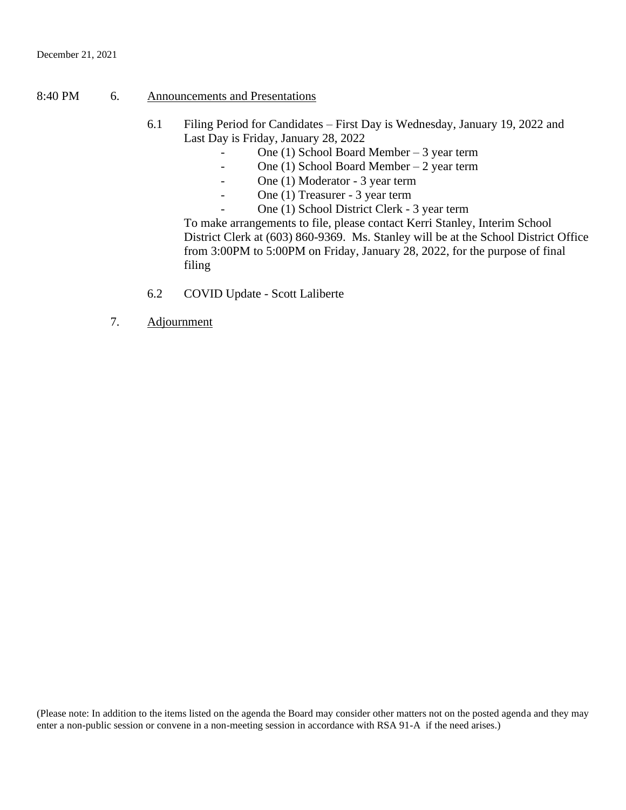### 8:40 PM 6. Announcements and Presentations

- 6.1 Filing Period for Candidates First Day is Wednesday, January 19, 2022 and Last Day is Friday, January 28, 2022
	- One (1) School Board Member 3 year term
	- One (1) School Board Member 2 year term
	- One (1) Moderator 3 year term
	- One (1) Treasurer 3 year term
	- One (1) School District Clerk 3 year term

To make arrangements to file, please contact Kerri Stanley, Interim School District Clerk at (603) 860-9369. Ms. Stanley will be at the School District Office from 3:00PM to 5:00PM on Friday, January 28, 2022, for the purpose of final filing

- 6.2 COVID Update Scott Laliberte
- 7. Adjournment

(Please note: In addition to the items listed on the agenda the Board may consider other matters not on the posted agenda and they may enter a non-public session or convene in a non-meeting session in accordance with RSA 91-A if the need arises.)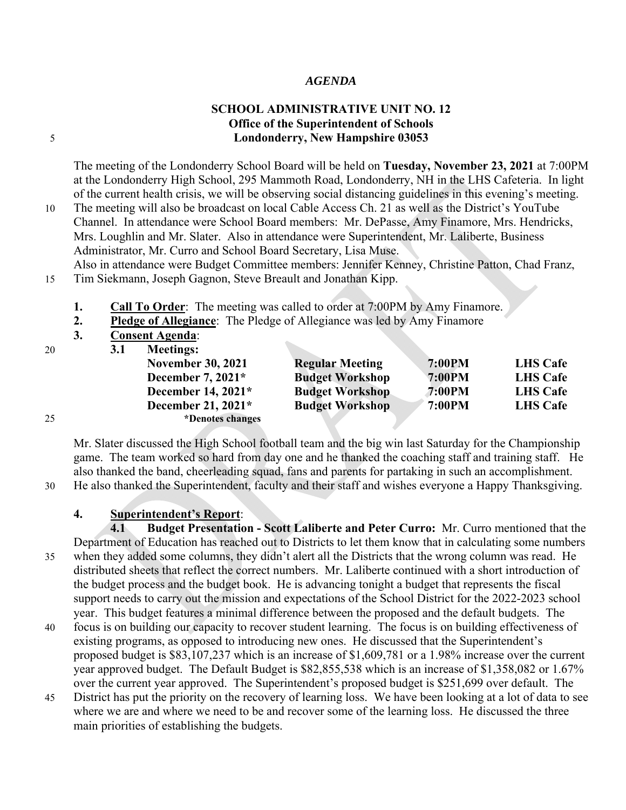### *AGENDA*

# **SCHOOL ADMINISTRATIVE UNIT NO. 12 Office of the Superintendent of Schools**  5 **Londonderry, New Hampshire 03053**

The meeting of the Londonderry School Board will be held on **Tuesday, November 23, 2021** at 7:00PM at the Londonderry High School, 295 Mammoth Road, Londonderry, NH in the LHS Cafeteria. In light of the current health crisis, we will be observing social distancing guidelines in this evening's meeting.

10 The meeting will also be broadcast on local Cable Access Ch. 21 as well as the District's YouTube Channel. In attendance were School Board members: Mr. DePasse, Amy Finamore, Mrs. Hendricks, Mrs. Loughlin and Mr. Slater. Also in attendance were Superintendent, Mr. Laliberte, Business Administrator, Mr. Curro and School Board Secretary, Lisa Muse.

Also in attendance were Budget Committee members: Jennifer Kenney, Christine Patton, Chad Franz, 15 Tim Siekmann, Joseph Gagnon, Steve Breault and Jonathan Kipp.

**1. Call To Order**: The meeting was called to order at 7:00PM by Amy Finamore.

o.

**2. Pledge of Allegiance**: The Pledge of Allegiance was led by Amy Finamore

**3. Consent Agenda**:

| 20 | 3.1 | <b>Meetings:</b>         |                        |        |                 |
|----|-----|--------------------------|------------------------|--------|-----------------|
|    |     | <b>November 30, 2021</b> | <b>Regular Meeting</b> | 7:00PM | <b>LHS Cafe</b> |
|    |     | December 7, $2021*$      | <b>Budget Workshop</b> | 7:00PM | <b>LHS Cafe</b> |
|    |     | December 14, $2021*$     | <b>Budget Workshop</b> | 7:00PM | <b>LHS Cafe</b> |
|    |     | December 21, 2021*       | <b>Budget Workshop</b> | 7:00PM | <b>LHS Cafe</b> |
| 25 |     | *Denotes changes         |                        |        |                 |

Mr. Slater discussed the High School football team and the big win last Saturday for the Championship game. The team worked so hard from day one and he thanked the coaching staff and training staff. He also thanked the band, cheerleading squad, fans and parents for partaking in such an accomplishment. 30 He also thanked the Superintendent, faculty and their staff and wishes everyone a Happy Thanksgiving.

# **4. Superintendent's Report**:

**4.1 Budget Presentation - Scott Laliberte and Peter Curro:** Mr. Curro mentioned that the Department of Education has reached out to Districts to let them know that in calculating some numbers 35 when they added some columns, they didn't alert all the Districts that the wrong column was read. He distributed sheets that reflect the correct numbers. Mr. Laliberte continued with a short introduction of the budget process and the budget book. He is advancing tonight a budget that represents the fiscal support needs to carry out the mission and expectations of the School District for the 2022-2023 school year. This budget features a minimal difference between the proposed and the default budgets. The

- 40 focus is on building our capacity to recover student learning. The focus is on building effectiveness of existing programs, as opposed to introducing new ones. He discussed that the Superintendent's proposed budget is \$83,107,237 which is an increase of \$1,609,781 or a 1.98% increase over the current year approved budget. The Default Budget is \$82,855,538 which is an increase of \$1,358,082 or 1.67% over the current year approved. The Superintendent's proposed budget is \$251,699 over default. The
- 45 District has put the priority on the recovery of learning loss. We have been looking at a lot of data to see where we are and where we need to be and recover some of the learning loss. He discussed the three main priorities of establishing the budgets.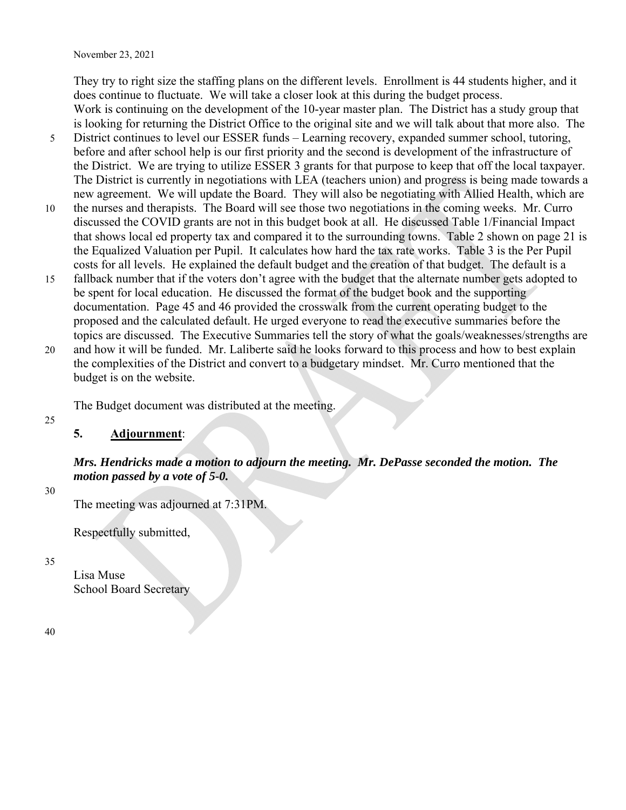They try to right size the staffing plans on the different levels. Enrollment is 44 students higher, and it does continue to fluctuate. We will take a closer look at this during the budget process. Work is continuing on the development of the 10-year master plan. The District has a study group that

- is looking for returning the District Office to the original site and we will talk about that more also. The 5 District continues to level our ESSER funds – Learning recovery, expanded summer school, tutoring, before and after school help is our first priority and the second is development of the infrastructure of the District. We are trying to utilize ESSER 3 grants for that purpose to keep that off the local taxpayer. The District is currently in negotiations with LEA (teachers union) and progress is being made towards a new agreement. We will update the Board. They will also be negotiating with Allied Health, which are
- 10 the nurses and therapists. The Board will see those two negotiations in the coming weeks. Mr. Curro discussed the COVID grants are not in this budget book at all. He discussed Table 1/Financial Impact that shows local ed property tax and compared it to the surrounding towns. Table 2 shown on page 21 is the Equalized Valuation per Pupil. It calculates how hard the tax rate works. Table 3 is the Per Pupil costs for all levels. He explained the default budget and the creation of that budget. The default is a
- 15 fallback number that if the voters don't agree with the budget that the alternate number gets adopted to be spent for local education. He discussed the format of the budget book and the supporting documentation. Page 45 and 46 provided the crosswalk from the current operating budget to the proposed and the calculated default. He urged everyone to read the executive summaries before the topics are discussed. The Executive Summaries tell the story of what the goals/weaknesses/strengths are
- 20 and how it will be funded. Mr. Laliberte said he looks forward to this process and how to best explain the complexities of the District and convert to a budgetary mindset. Mr. Curro mentioned that the budget is on the website.

The Budget document was distributed at the meeting.

# **5. Adjournment**:

# *Mrs. Hendricks made a motion to adjourn the meeting. Mr. DePasse seconded the motion. The motion passed by a vote of 5-0.*

30

25

The meeting was adjourned at 7:31PM.

Respectfully submitted,

#### 35

Lisa Muse School Board Secretary

<sup>40</sup>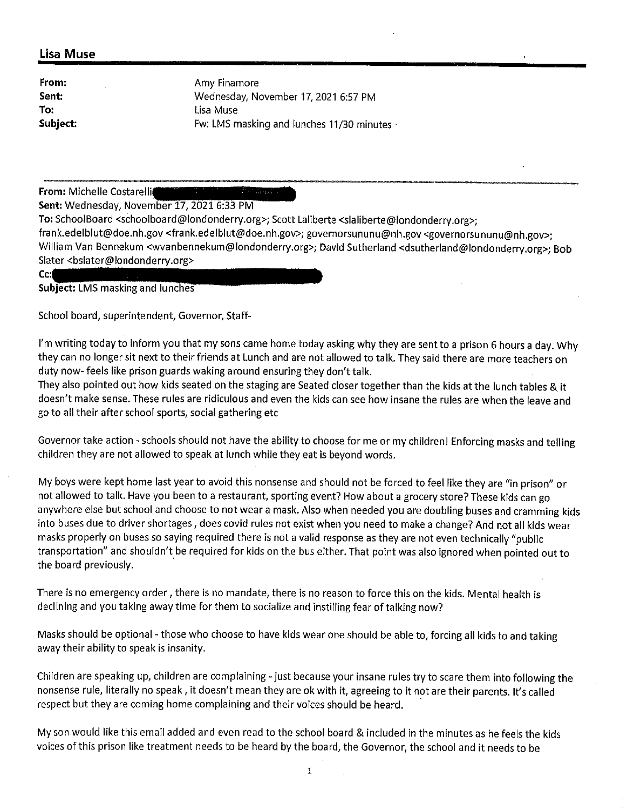| From:    |  |
|----------|--|
| Sent:    |  |
| To:      |  |
| Subject: |  |

Amy Finamore Wednesday, November 17, 2021 6:57 PM Lisa Muse Fw: LMS masking and lunches 11/30 minutes

From: Michelle Costarelli

Sent: Wednesday, November 17, 2021 6:33 PM

To: SchoolBoard <schoolboard@londonderry.org>; Scott Laliberte <slaliberte@londonderry.org>; frank.edelblut@doe.nh.gov<frank.edelblut@doe.nh.gov>; governorsununu@nh.gov<governorsununu@nh.gov>; William Van Bennekum <wvanbennekum@londonderry.org>; David Sutherland <dsutherland@londonderry.org>; Bob

Slater <bslater@londonderry.org>  $Cc$ :

**Subject: LMS masking and lunches** 

School board, superintendent, Governor, Staff-

I'm writing today to inform you that my sons came home today asking why they are sent to a prison 6 hours a day. Why they can no longer sit next to their friends at Lunch and are not allowed to talk. They said there are more teachers on duty now-feels like prison guards waking around ensuring they don't talk.

They also pointed out how kids seated on the staging are Seated closer together than the kids at the lunch tables & it doesn't make sense. These rules are ridiculous and even the kids can see how insane the rules are when the leave and go to all their after school sports, social gathering etc

Governor take action - schools should not have the ability to choose for me or my children! Enforcing masks and telling children they are not allowed to speak at lunch while they eat is beyond words.

My boys were kept home last year to avoid this nonsense and should not be forced to feel like they are "in prison" or not allowed to talk. Have you been to a restaurant, sporting event? How about a grocery store? These kids can go anywhere else but school and choose to not wear a mask. Also when needed you are doubling buses and cramming kids into buses due to driver shortages, does covid rules not exist when you need to make a change? And not all kids wear masks properly on buses so saying required there is not a valid response as they are not even technically "public transportation" and shouldn't be required for kids on the bus either. That point was also ignored when pointed out to the board previously.

There is no emergency order, there is no mandate, there is no reason to force this on the kids. Mental health is declining and you taking away time for them to socialize and instilling fear of talking now?

Masks should be optional - those who choose to have kids wear one should be able to, forcing all kids to and taking away their ability to speak is insanity.

Children are speaking up, children are complaining - just because your insane rules try to scare them into following the nonsense rule, literally no speak, it doesn't mean they are ok with it, agreeing to it not are their parents. It's called respect but they are coming home complaining and their voices should be heard.

My son would like this email added and even read to the school board & included in the minutes as he feels the kids voices of this prison like treatment needs to be heard by the board, the Governor, the school and it needs to be

 $\mathbf 1$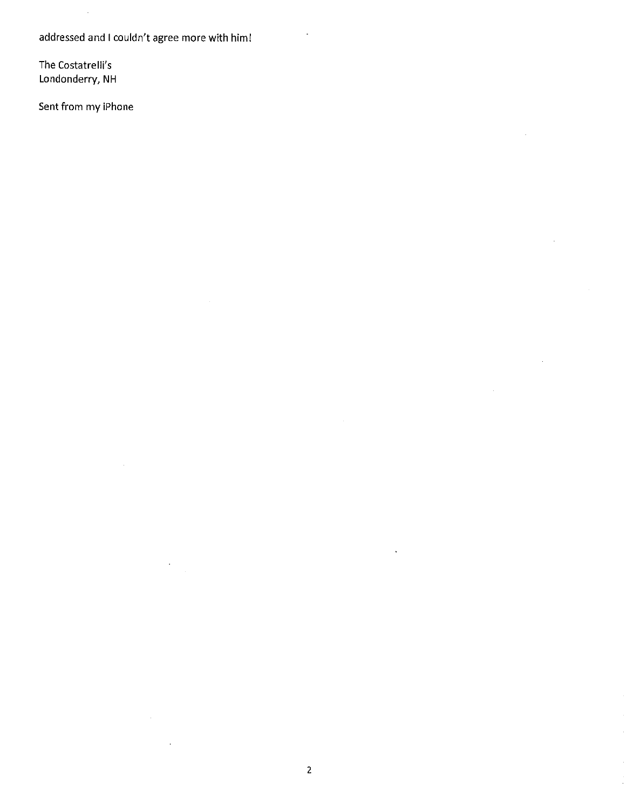addressed and I couldn't agree more with him!

The Costatrelli's Londonderry, NH

Sent from my iPhone

 $\cdot$ 

 $\mathcal{L}_{\mathbf{r}}$ 

 $\ddot{\phantom{0}}$ 

 $\bar{z}$ 

 $\ddot{\phantom{a}}$ 

 $\bar{z}$ 

 $\bar{z}$ 

 $\hat{\boldsymbol{\beta}}$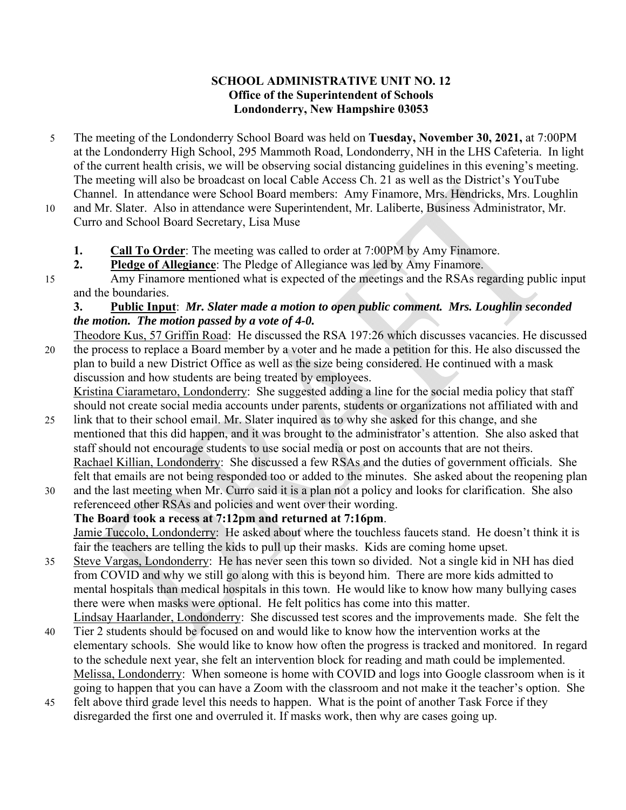# **SCHOOL ADMINISTRATIVE UNIT NO. 12 Office of the Superintendent of Schools Londonderry, New Hampshire 03053**

- 5 The meeting of the Londonderry School Board was held on **Tuesday, November 30, 2021,** at 7:00PM at the Londonderry High School, 295 Mammoth Road, Londonderry, NH in the LHS Cafeteria. In light of the current health crisis, we will be observing social distancing guidelines in this evening's meeting. The meeting will also be broadcast on local Cable Access Ch. 21 as well as the District's YouTube Channel. In attendance were School Board members: Amy Finamore, Mrs. Hendricks, Mrs. Loughlin
- 10 and Mr. Slater. Also in attendance were Superintendent, Mr. Laliberte, Business Administrator, Mr. Curro and School Board Secretary, Lisa Muse
	- **1. Call To Order**: The meeting was called to order at 7:00PM by Amy Finamore.
	- **2. Pledge of Allegiance**: The Pledge of Allegiance was led by Amy Finamore.
- 15 Amy Finamore mentioned what is expected of the meetings and the RSAs regarding public input and the boundaries.

# **3. Public Input**: *Mr. Slater made a motion to open public comment. Mrs. Loughlin seconded the motion. The motion passed by a vote of 4-0.*

Theodore Kus, 57 Griffin Road: He discussed the RSA 197:26 which discusses vacancies. He discussed 20 the process to replace a Board member by a voter and he made a petition for this. He also discussed the plan to build a new District Office as well as the size being considered. He continued with a mask discussion and how students are being treated by employees.

Kristina Ciarametaro, Londonderry: She suggested adding a line for the social media policy that staff should not create social media accounts under parents, students or organizations not affiliated with and

- 25 link that to their school email. Mr. Slater inquired as to why she asked for this change, and she mentioned that this did happen, and it was brought to the administrator's attention. She also asked that staff should not encourage students to use social media or post on accounts that are not theirs. Rachael Killian, Londonderry: She discussed a few RSAs and the duties of government officials. She felt that emails are not being responded too or added to the minutes. She asked about the reopening plan
- 30 and the last meeting when Mr. Curro said it is a plan not a policy and looks for clarification. She also referenceed other RSAs and policies and went over their wording. **The Board took a recess at 7:12pm and returned at 7:16pm**. Jamie Tuccolo, Londonderry: He asked about where the touchless faucets stand. He doesn't think it is fair the teachers are telling the kids to pull up their masks. Kids are coming home upset.
- 35 Steve Vargas, Londonderry: He has never seen this town so divided. Not a single kid in NH has died from COVID and why we still go along with this is beyond him. There are more kids admitted to mental hospitals than medical hospitals in this town. He would like to know how many bullying cases there were when masks were optional. He felt politics has come into this matter. Lindsay Haarlander, Londonderry: She discussed test scores and the improvements made. She felt the
- 40 Tier 2 students should be focused on and would like to know how the intervention works at the elementary schools. She would like to know how often the progress is tracked and monitored. In regard to the schedule next year, she felt an intervention block for reading and math could be implemented. Melissa, Londonderry: When someone is home with COVID and logs into Google classroom when is it going to happen that you can have a Zoom with the classroom and not make it the teacher's option. She
- 45 felt above third grade level this needs to happen. What is the point of another Task Force if they disregarded the first one and overruled it. If masks work, then why are cases going up.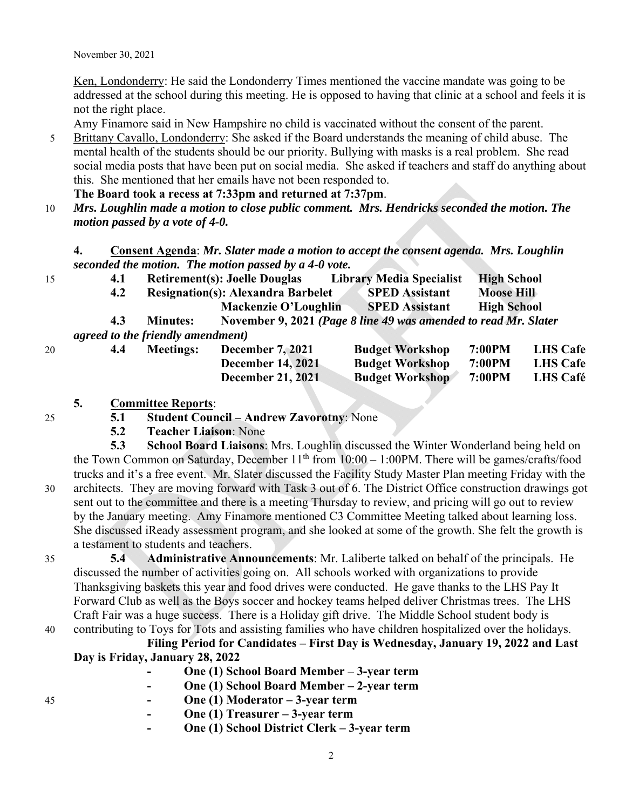Ken, Londonderry: He said the Londonderry Times mentioned the vaccine mandate was going to be addressed at the school during this meeting. He is opposed to having that clinic at a school and feels it is not the right place.

Amy Finamore said in New Hampshire no child is vaccinated without the consent of the parent.

5 Brittany Cavallo, Londonderry: She asked if the Board understands the meaning of child abuse. The mental health of the students should be our priority. Bullying with masks is a real problem. She read social media posts that have been put on social media. She asked if teachers and staff do anything about this. She mentioned that her emails have not been responded to.

### **The Board took a recess at 7:33pm and returned at 7:37pm**.

10 *Mrs. Loughlin made a motion to close public comment. Mrs. Hendricks seconded the motion. The motion passed by a vote of 4-0.* 

### **4. Consent Agenda**: *Mr. Slater made a motion to accept the consent agenda. Mrs. Loughlin seconded the motion. The motion passed by a 4-0 vote.*

| 15 | 4.1 | <b>Retirement(s): Joelle Douglas</b>      | <b>Library Media Specialist</b>                                 | <b>High School</b> |
|----|-----|-------------------------------------------|-----------------------------------------------------------------|--------------------|
|    | 4.2 | <b>Resignation(s): Alexandra Barbelet</b> | <b>SPED</b> Assistant                                           | <b>Moose Hill</b>  |
|    |     | <b>Mackenzie O'Loughlin</b>               | <b>SPED Assistant</b>                                           | <b>High School</b> |
|    | 4.3 | <b>Minutes:</b>                           | November 9, 2021 (Page 8 line 49 was amended to read Mr. Slater |                    |

*agreed to the friendly amendment)* 

| 20 | 4.4 | <b>Meetings:</b> | <b>December 7, 2021</b>  | <b>Budget Workshop</b> | 7:00PM | <b>LHS Cafe</b> |
|----|-----|------------------|--------------------------|------------------------|--------|-----------------|
|    |     |                  | <b>December 14, 2021</b> | <b>Budget Workshop</b> | 7:00PM | <b>LHS Cafe</b> |
|    |     |                  | <b>December 21, 2021</b> | <b>Budget Workshop</b> | 7:00PM | <b>LHS Café</b> |

### **5. Committee Reports**:

- 25 **5.1 Student Council Andrew Zavorotny**: None
	- **5.2 Teacher Liaison**: None

**5.3 School Board Liaisons**: Mrs. Loughlin discussed the Winter Wonderland being held on the Town Common on Saturday, December  $11<sup>th</sup>$  from  $10:00 - 1:00$ PM. There will be games/crafts/food trucks and it's a free event. Mr. Slater discussed the Facility Study Master Plan meeting Friday with the 30 architects. They are moving forward with Task 3 out of 6. The District Office construction drawings got sent out to the committee and there is a meeting Thursday to review, and pricing will go out to review by the January meeting. Amy Finamore mentioned C3 Committee Meeting talked about learning loss.

She discussed iReady assessment program, and she looked at some of the growth. She felt the growth is a testament to students and teachers.

35 **5.4 Administrative Announcements**: Mr. Laliberte talked on behalf of the principals. He discussed the number of activities going on. All schools worked with organizations to provide Thanksgiving baskets this year and food drives were conducted. He gave thanks to the LHS Pay It Forward Club as well as the Boys soccer and hockey teams helped deliver Christmas trees. The LHS Craft Fair was a huge success. There is a Holiday gift drive. The Middle School student body is 40 contributing to Toys for Tots and assisting families who have children hospitalized over the holidays.

**Filing Period for Candidates – First Day is Wednesday, January 19, 2022 and Last** 

**Day is Friday, January 28, 2022** 

- **One (1) School Board Member 3-year term**
- **One (1) School Board Member 2-year term**
- 45  **One (1) Moderator 3-year term** 
	- **One (1) Treasurer 3-year term**
	- **One (1) School District Clerk 3-year term**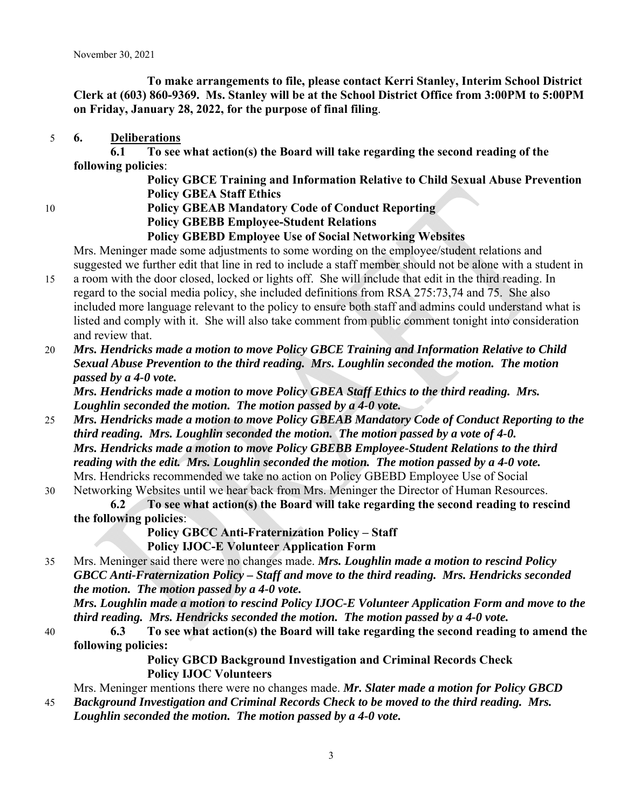**To make arrangements to file, please contact Kerri Stanley, Interim School District Clerk at (603) 860-9369. Ms. Stanley will be at the School District Office from 3:00PM to 5:00PM on Friday, January 28, 2022, for the purpose of final filing**.

## 5 **6. Deliberations**

**6.1 To see what action(s) the Board will take regarding the second reading of the following policies**:

> **Policy GBCE Training and Information Relative to Child Sexual Abuse Prevention Policy GBEA Staff Ethics**

# 10 **Policy GBEAB Mandatory Code of Conduct Reporting Policy GBEBB Employee-Student Relations**

# **Policy GBEBD Employee Use of Social Networking Websites**

Mrs. Meninger made some adjustments to some wording on the employee/student relations and suggested we further edit that line in red to include a staff member should not be alone with a student in

- 15 a room with the door closed, locked or lights off. She will include that edit in the third reading. In regard to the social media policy, she included definitions from RSA 275:73,74 and 75. She also included more language relevant to the policy to ensure both staff and admins could understand what is listed and comply with it. She will also take comment from public comment tonight into consideration and review that.
- 20 *Mrs. Hendricks made a motion to move Policy GBCE Training and Information Relative to Child Sexual Abuse Prevention to the third reading. Mrs. Loughlin seconded the motion. The motion passed by a 4-0 vote.*

*Mrs. Hendricks made a motion to move Policy GBEA Staff Ethics to the third reading. Mrs. Loughlin seconded the motion. The motion passed by a 4-0 vote.* 

- 25 *Mrs. Hendricks made a motion to move Policy GBEAB Mandatory Code of Conduct Reporting to the third reading. Mrs. Loughlin seconded the motion. The motion passed by a vote of 4-0. Mrs. Hendricks made a motion to move Policy GBEBB Employee-Student Relations to the third reading with the edit. Mrs. Loughlin seconded the motion. The motion passed by a 4-0 vote.*  Mrs. Hendricks recommended we take no action on Policy GBEBD Employee Use of Social
- 30 Networking Websites until we hear back from Mrs. Meninger the Director of Human Resources. **6.2 To see what action(s) the Board will take regarding the second reading to rescind the following policies**:

 **Policy GBCC Anti-Fraternization Policy – Staff Policy IJOC-E Volunteer Application Form** 

35 Mrs. Meninger said there were no changes made. *Mrs. Loughlin made a motion to rescind Policy GBCC Anti-Fraternization Policy – Staff and move to the third reading. Mrs. Hendricks seconded the motion. The motion passed by a 4-0 vote.*

*Mrs. Loughlin made a motion to rescind Policy IJOC-E Volunteer Application Form and move to the third reading. Mrs. Hendricks seconded the motion. The motion passed by a 4-0 vote.* 

40 **6.3 To see what action(s) the Board will take regarding the second reading to amend the following policies:**

> **Policy GBCD Background Investigation and Criminal Records Check Policy IJOC Volunteers**

Mrs. Meninger mentions there were no changes made. *Mr. Slater made a motion for Policy GBCD*  45 *Background Investigation and Criminal Records Check to be moved to the third reading. Mrs.* 

*Loughlin seconded the motion. The motion passed by a 4-0 vote.*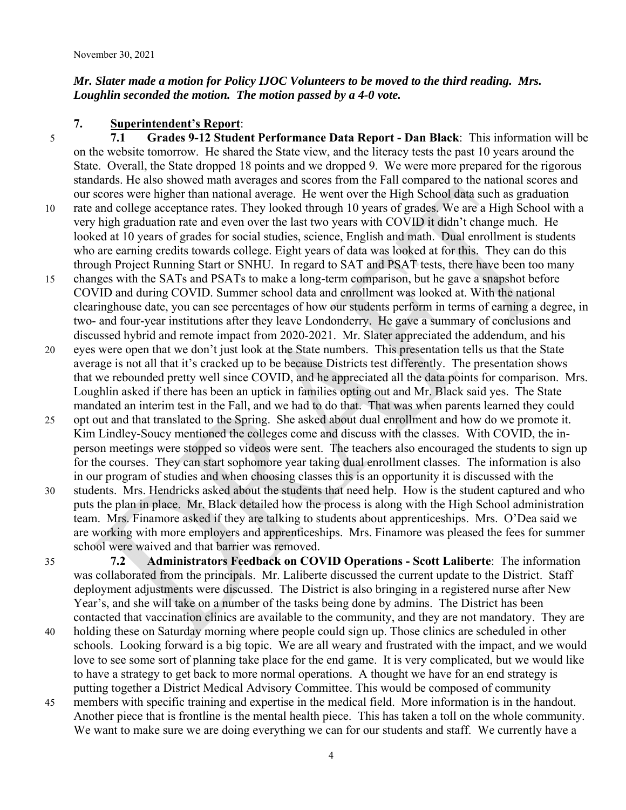November 30, 2021

# *Mr. Slater made a motion for Policy IJOC Volunteers to be moved to the third reading. Mrs. Loughlin seconded the motion. The motion passed by a 4-0 vote.*

# **7. Superintendent's Report**:

5 **7.1 Grades 9-12 Student Performance Data Report - Dan Black**: This information will be on the website tomorrow. He shared the State view, and the literacy tests the past 10 years around the State. Overall, the State dropped 18 points and we dropped 9. We were more prepared for the rigorous standards. He also showed math averages and scores from the Fall compared to the national scores and our scores were higher than national average. He went over the High School data such as graduation 10 rate and college acceptance rates. They looked through 10 years of grades. We are a High School with a very high graduation rate and even over the last two years with COVID it didn't change much. He looked at 10 years of grades for social studies, science, English and math. Dual enrollment is students who are earning credits towards college. Eight years of data was looked at for this. They can do this through Project Running Start or SNHU. In regard to SAT and PSAT tests, there have been too many

- 15 changes with the SATs and PSATs to make a long-term comparison, but he gave a snapshot before COVID and during COVID. Summer school data and enrollment was looked at. With the national clearinghouse date, you can see percentages of how our students perform in terms of earning a degree, in two- and four-year institutions after they leave Londonderry. He gave a summary of conclusions and discussed hybrid and remote impact from 2020-2021. Mr. Slater appreciated the addendum, and his
- 20 eyes were open that we don't just look at the State numbers. This presentation tells us that the State average is not all that it's cracked up to be because Districts test differently. The presentation shows that we rebounded pretty well since COVID, and he appreciated all the data points for comparison. Mrs. Loughlin asked if there has been an uptick in families opting out and Mr. Black said yes. The State mandated an interim test in the Fall, and we had to do that. That was when parents learned they could
- 25 opt out and that translated to the Spring. She asked about dual enrollment and how do we promote it. Kim Lindley-Soucy mentioned the colleges come and discuss with the classes. With COVID, the inperson meetings were stopped so videos were sent. The teachers also encouraged the students to sign up for the courses. They can start sophomore year taking dual enrollment classes. The information is also in our program of studies and when choosing classes this is an opportunity it is discussed with the
- 30 students. Mrs. Hendricks asked about the students that need help. How is the student captured and who puts the plan in place. Mr. Black detailed how the process is along with the High School administration team. Mrs. Finamore asked if they are talking to students about apprenticeships. Mrs. O'Dea said we are working with more employers and apprenticeships. Mrs. Finamore was pleased the fees for summer school were waived and that barrier was removed.
- 35 **7.2 Administrators Feedback on COVID Operations Scott Laliberte**: The information was collaborated from the principals. Mr. Laliberte discussed the current update to the District. Staff deployment adjustments were discussed. The District is also bringing in a registered nurse after New Year's, and she will take on a number of the tasks being done by admins. The District has been contacted that vaccination clinics are available to the community, and they are not mandatory. They are
- 40 holding these on Saturday morning where people could sign up. Those clinics are scheduled in other schools. Looking forward is a big topic. We are all weary and frustrated with the impact, and we would love to see some sort of planning take place for the end game. It is very complicated, but we would like to have a strategy to get back to more normal operations. A thought we have for an end strategy is putting together a District Medical Advisory Committee. This would be composed of community
- 45 members with specific training and expertise in the medical field. More information is in the handout. Another piece that is frontline is the mental health piece. This has taken a toll on the whole community. We want to make sure we are doing everything we can for our students and staff. We currently have a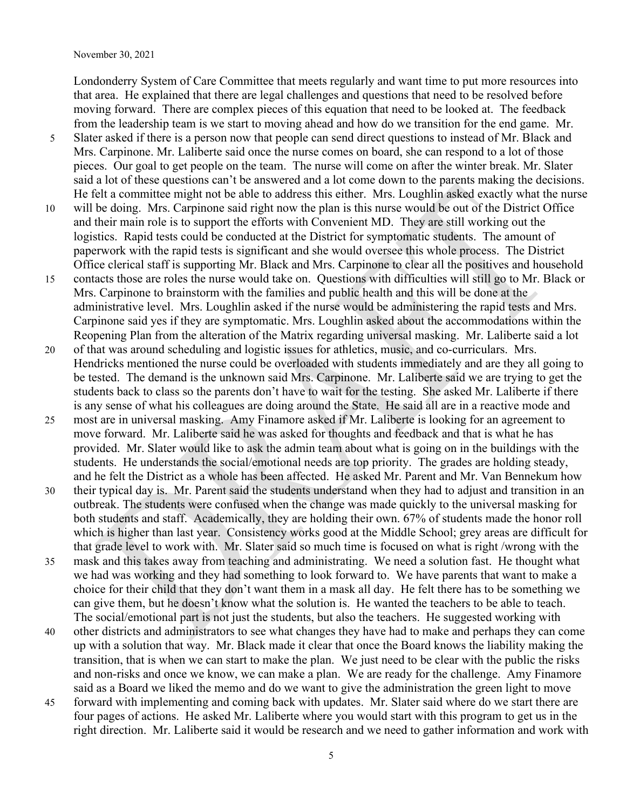Londonderry System of Care Committee that meets regularly and want time to put more resources into that area. He explained that there are legal challenges and questions that need to be resolved before moving forward. There are complex pieces of this equation that need to be looked at. The feedback from the leadership team is we start to moving ahead and how do we transition for the end game. Mr.

- 5 Slater asked if there is a person now that people can send direct questions to instead of Mr. Black and Mrs. Carpinone. Mr. Laliberte said once the nurse comes on board, she can respond to a lot of those pieces. Our goal to get people on the team. The nurse will come on after the winter break. Mr. Slater said a lot of these questions can't be answered and a lot come down to the parents making the decisions. He felt a committee might not be able to address this either. Mrs. Loughlin asked exactly what the nurse
- 10 will be doing. Mrs. Carpinone said right now the plan is this nurse would be out of the District Office and their main role is to support the efforts with Convenient MD. They are still working out the logistics. Rapid tests could be conducted at the District for symptomatic students. The amount of paperwork with the rapid tests is significant and she would oversee this whole process. The District Office clerical staff is supporting Mr. Black and Mrs. Carpinone to clear all the positives and household
- 15 contacts those are roles the nurse would take on. Questions with difficulties will still go to Mr. Black or Mrs. Carpinone to brainstorm with the families and public health and this will be done at the administrative level. Mrs. Loughlin asked if the nurse would be administering the rapid tests and Mrs. Carpinone said yes if they are symptomatic. Mrs. Loughlin asked about the accommodations within the Reopening Plan from the alteration of the Matrix regarding universal masking. Mr. Laliberte said a lot
- 20 of that was around scheduling and logistic issues for athletics, music, and co-curriculars. Mrs. Hendricks mentioned the nurse could be overloaded with students immediately and are they all going to be tested. The demand is the unknown said Mrs. Carpinone. Mr. Laliberte said we are trying to get the students back to class so the parents don't have to wait for the testing. She asked Mr. Laliberte if there is any sense of what his colleagues are doing around the State. He said all are in a reactive mode and
- 25 most are in universal masking. Amy Finamore asked if Mr. Laliberte is looking for an agreement to move forward. Mr. Laliberte said he was asked for thoughts and feedback and that is what he has provided. Mr. Slater would like to ask the admin team about what is going on in the buildings with the students. He understands the social/emotional needs are top priority. The grades are holding steady, and he felt the District as a whole has been affected. He asked Mr. Parent and Mr. Van Bennekum how
- 30 their typical day is. Mr. Parent said the students understand when they had to adjust and transition in an outbreak. The students were confused when the change was made quickly to the universal masking for both students and staff. Academically, they are holding their own. 67% of students made the honor roll which is higher than last year. Consistency works good at the Middle School; grey areas are difficult for that grade level to work with. Mr. Slater said so much time is focused on what is right /wrong with the
- 35 mask and this takes away from teaching and administrating. We need a solution fast. He thought what we had was working and they had something to look forward to. We have parents that want to make a choice for their child that they don't want them in a mask all day. He felt there has to be something we can give them, but he doesn't know what the solution is. He wanted the teachers to be able to teach. The social/emotional part is not just the students, but also the teachers. He suggested working with
- 40 other districts and administrators to see what changes they have had to make and perhaps they can come up with a solution that way. Mr. Black made it clear that once the Board knows the liability making the transition, that is when we can start to make the plan. We just need to be clear with the public the risks and non-risks and once we know, we can make a plan. We are ready for the challenge. Amy Finamore said as a Board we liked the memo and do we want to give the administration the green light to move
- 45 forward with implementing and coming back with updates. Mr. Slater said where do we start there are four pages of actions. He asked Mr. Laliberte where you would start with this program to get us in the right direction. Mr. Laliberte said it would be research and we need to gather information and work with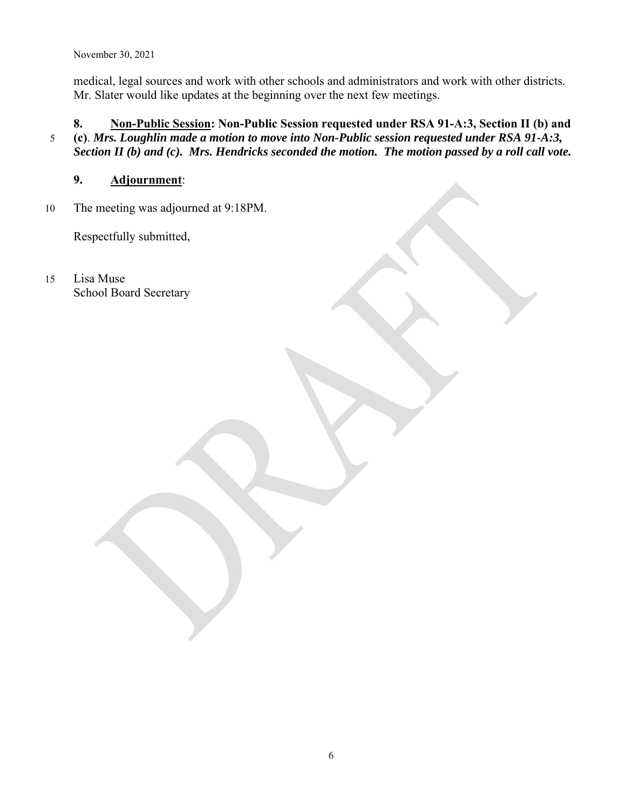November 30, 2021

medical, legal sources and work with other schools and administrators and work with other districts. Mr. Slater would like updates at the beginning over the next few meetings.

**8. Non-Public Session: Non-Public Session requested under RSA 91-A:3, Section II (b) and**  5 **(c)**. *Mrs. Loughlin made a motion to move into Non-Public session requested under RSA 91-A:3, Section II (b) and (c). Mrs. Hendricks seconded the motion. The motion passed by a roll call vote.*

**9. Adjournment**:

10 The meeting was adjourned at 9:18PM.

Respectfully submitted,

15 Lisa Muse School Board Secretary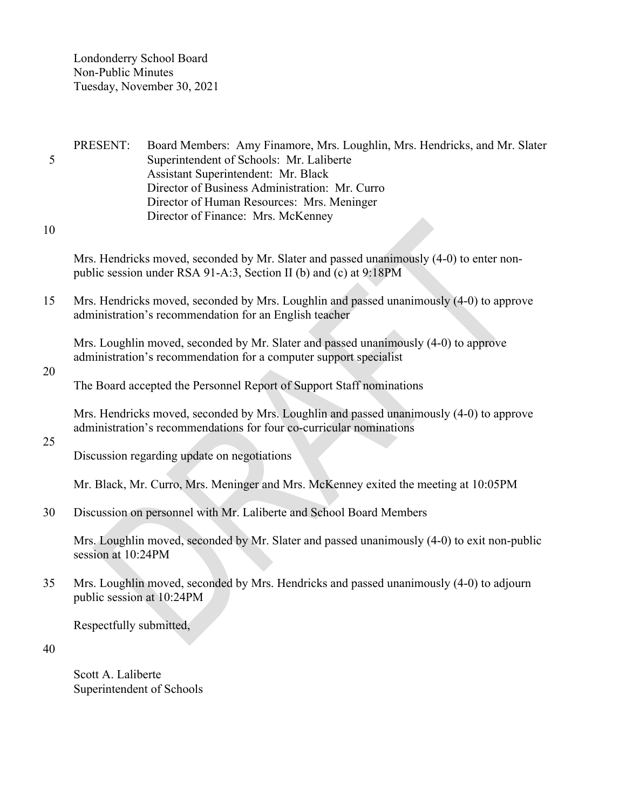Londonderry School Board Non-Public Minutes Tuesday, November 30, 2021

PRESENT: Board Members: Amy Finamore, Mrs. Loughlin, Mrs. Hendricks, and Mr. Slater 5 Superintendent of Schools: Mr. Laliberte Assistant Superintendent: Mr. Black Director of Business Administration: Mr. Curro Director of Human Resources: Mrs. Meninger Director of Finance: Mrs. McKenney

10

Mrs. Hendricks moved, seconded by Mr. Slater and passed unanimously (4-0) to enter nonpublic session under RSA 91-A:3, Section II (b) and (c) at 9:18PM

15 Mrs. Hendricks moved, seconded by Mrs. Loughlin and passed unanimously (4-0) to approve administration's recommendation for an English teacher

Mrs. Loughlin moved, seconded by Mr. Slater and passed unanimously (4-0) to approve administration's recommendation for a computer support specialist

# 20

The Board accepted the Personnel Report of Support Staff nominations

Mrs. Hendricks moved, seconded by Mrs. Loughlin and passed unanimously (4-0) to approve administration's recommendations for four co-curricular nominations

#### 25

Discussion regarding update on negotiations

Mr. Black, Mr. Curro, Mrs. Meninger and Mrs. McKenney exited the meeting at 10:05PM

30 Discussion on personnel with Mr. Laliberte and School Board Members

Mrs. Loughlin moved, seconded by Mr. Slater and passed unanimously (4-0) to exit non-public session at 10:24PM

35 Mrs. Loughlin moved, seconded by Mrs. Hendricks and passed unanimously (4-0) to adjourn public session at 10:24PM

Respectfully submitted,

40

Scott A. Laliberte Superintendent of Schools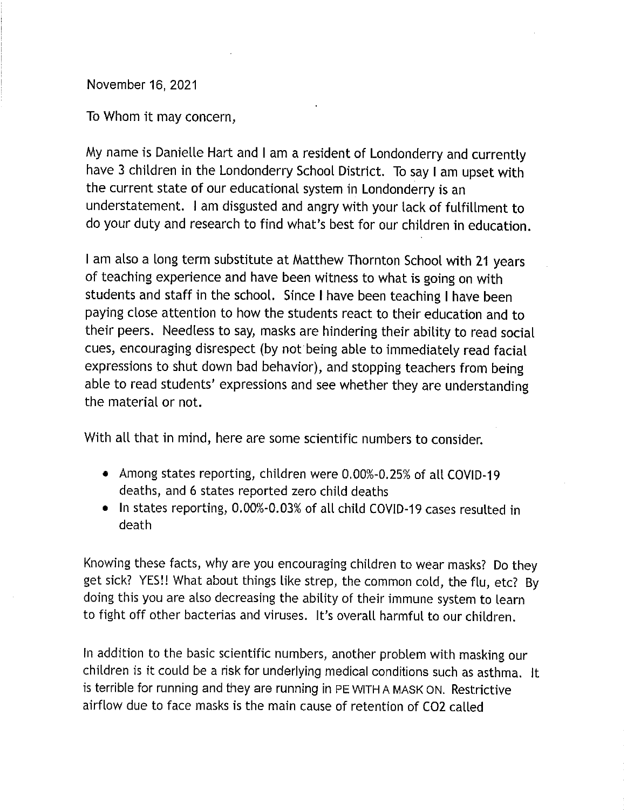November 16, 2021

To Whom it may concern,

My name is Danielle Hart and I am a resident of Londonderry and currently have 3 children in the Londonderry School District. To say I am upset with the current state of our educational system in Londonderry is an understatement. I am disgusted and angry with your lack of fulfillment to do your duty and research to find what's best for our children in education.

I am also a long term substitute at Matthew Thornton School with 21 years of teaching experience and have been witness to what is going on with students and staff in the school. Since I have been teaching I have been paying close attention to how the students react to their education and to their peers. Needless to say, masks are hindering their ability to read social cues, encouraging disrespect (by not being able to immediately read facial expressions to shut down bad behavior), and stopping teachers from being able to read students' expressions and see whether they are understanding the material or not.

With all that in mind, here are some scientific numbers to consider.

- Among states reporting, children were 0.00%-0.25% of all COVID-19 deaths, and 6 states reported zero child deaths
- In states reporting, 0.00%-0.03% of all child COVID-19 cases resulted in death

Knowing these facts, why are you encouraging children to wear masks? Do they get sick? YES!! What about things like strep, the common cold, the flu, etc? By doing this you are also decreasing the ability of their immune system to learn to fight off other bacterias and viruses. It's overall harmful to our children.

In addition to the basic scientific numbers, another problem with masking our children is it could be a risk for underlying medical conditions such as asthma. It is terrible for running and they are running in PE WITH A MASK ON. Restrictive airflow due to face masks is the main cause of retention of CO2 called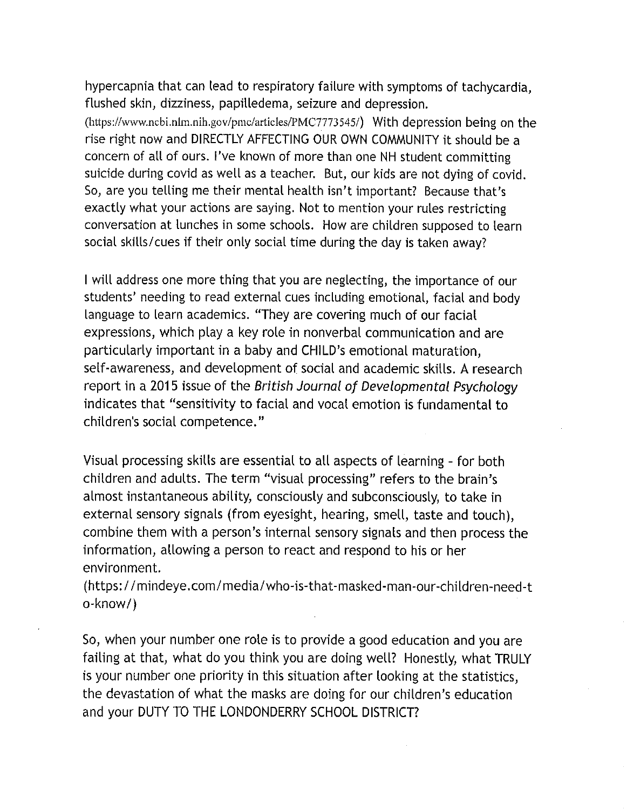hypercapnia that can lead to respiratory failure with symptoms of tachycardia. flushed skin, dizziness, papilledema, seizure and depression.

(https://www.ncbi.nlm.nih.gov/pmc/articles/PMC7773545/) With depression being on the rise right now and DIRECTLY AFFECTING OUR OWN COMMUNITY it should be a concern of all of ours. I've known of more than one NH student committing suicide during covid as well as a teacher. But, our kids are not dying of covid. So, are you telling me their mental health isn't important? Because that's exactly what your actions are saying. Not to mention your rules restricting conversation at lunches in some schools. How are children supposed to learn social skills/cues if their only social time during the day is taken away?

I will address one more thing that you are neglecting, the importance of our students' needing to read external cues including emotional, facial and body language to learn academics. "They are covering much of our facial expressions, which play a key role in nonverbal communication and are particularly important in a baby and CHILD's emotional maturation, self-awareness, and development of social and academic skills. A research report in a 2015 issue of the British Journal of Developmental Psychology indicates that "sensitivity to facial and vocal emotion is fundamental to children's social competence."

Visual processing skills are essential to all aspects of learning - for both children and adults. The term "visual processing" refers to the brain's almost instantaneous ability, consciously and subconsciously, to take in external sensory signals (from eyesight, hearing, smell, taste and touch). combine them with a person's internal sensory signals and then process the information, allowing a person to react and respond to his or her environment.

(https://mindeye.com/media/who-is-that-masked-man-our-children-need-t o-know/)

So, when your number one role is to provide a good education and you are failing at that, what do you think you are doing well? Honestly, what TRULY is your number one priority in this situation after looking at the statistics. the devastation of what the masks are doing for our children's education and your DUTY TO THE LONDONDERRY SCHOOL DISTRICT?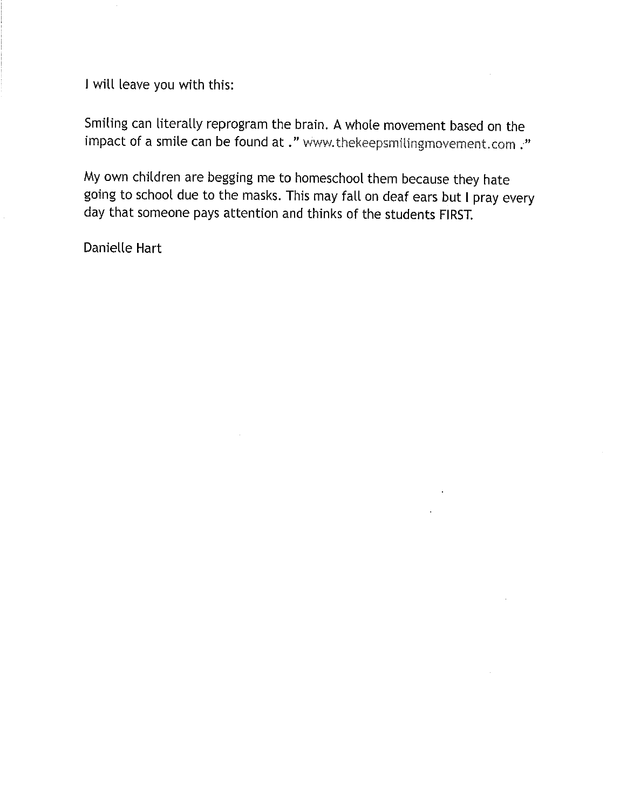I will leave you with this:

Smiling can literally reprogram the brain. A whole movement based on the impact of a smile can be found at ." www.thekeepsmilingmovement.com ."

My own children are begging me to homeschool them because they hate going to school due to the masks. This may fall on deaf ears but I pray every day that someone pays attention and thinks of the students FIRST.

Danielle Hart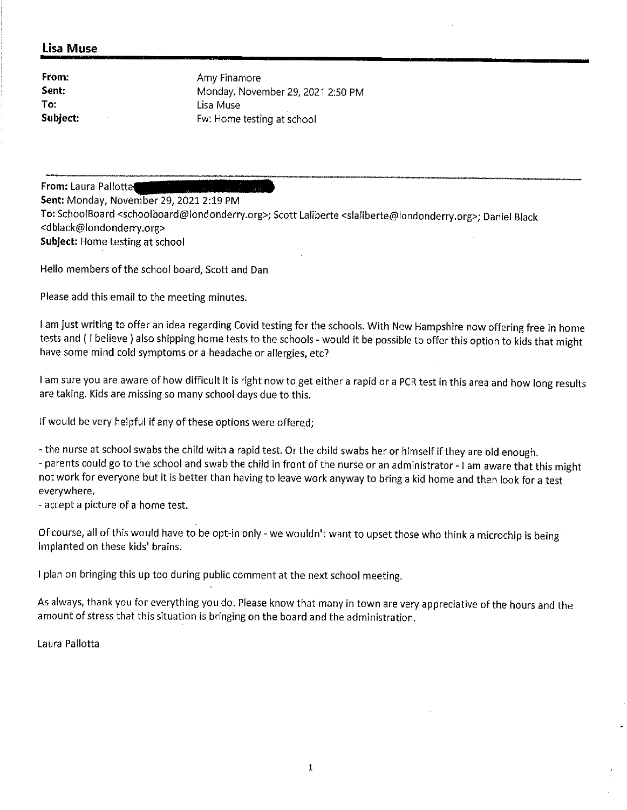From: Sent: To: Subject: Amy Finamore Monday, November 29, 2021 2:50 PM Lisa Muse Fw: Home testing at school

From: Laura Pallotta Sent: Monday, November 29, 2021 2:19 PM To: SchoolBoard <schoolboard@londonderry.org>; Scott Laliberte <slaliberte@londonderry.org>; Daniel Black <dblack@londonderry.org> Subject: Home testing at school

Hello members of the school board, Scott and Dan

Please add this email to the meeting minutes.

I am just writing to offer an idea regarding Covid testing for the schools. With New Hampshire now offering free in home tests and (I believe) also shipping home tests to the schools - would it be possible to offer this option to kids that might have some mind cold symptoms or a headache or allergies, etc?

I am sure you are aware of how difficult it is right now to get either a rapid or a PCR test in this area and how long results are taking. Kids are missing so many school days due to this.

If would be very helpful if any of these options were offered;

- the nurse at school swabs the child with a rapid test. Or the child swabs her or himself if they are old enough. - parents could go to the school and swab the child in front of the nurse or an administrator - I am aware that this might not work for everyone but it is better than having to leave work anyway to bring a kid home and then look for a test everywhere.

- accept a picture of a home test.

Of course, all of this would have to be opt-in only - we wouldn't want to upset those who think a microchip is being implanted on these kids' brains.

I plan on bringing this up too during public comment at the next school meeting.

As always, thank you for everything you do. Please know that many in town are very appreciative of the hours and the amount of stress that this situation is bringing on the board and the administration.

Laura Pallotta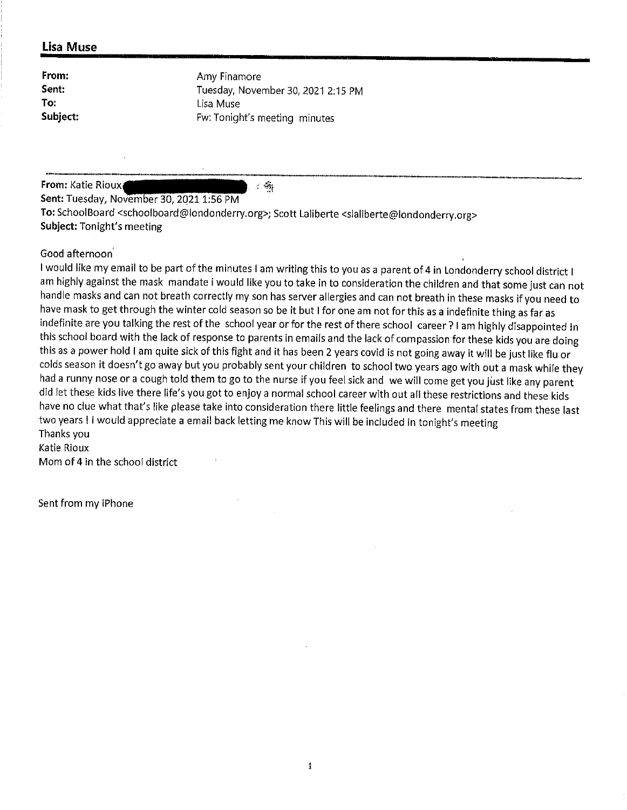From: Sent: To: Subject: Amy Finamore Tuesday, November 30, 2021 2:15 PM Lisa Muse Fw: Tonight's meeting minutes

From: Katie Rioux

 $\sim 8\%$ 

Sent: Tuesday, November 30, 2021 1:56 PM To: SchoolBoard <schoolboard@londonderry.org>; Scott Laliberte <slaliberte@londonderry.org> **Subject: Tonight's meeting** 

#### Good afternoon

I would like my email to be part of the minutes I am writing this to you as a parent of 4 in Londonderry school district I am highly against the mask mandate i would like you to take in to consideration the children and that some just can not handle masks and can not breath correctly my son has server allergies and can not breath in these masks if you need to have mask to get through the winter cold season so be it but I for one am not for this as a indefinite thing as far as indefinite are you talking the rest of the school year or for the rest of there school career? I am highly disappointed in this school board with the lack of response to parents in emails and the lack of compassion for these kids you are doing this as a power hold I am quite sick of this fight and it has been 2 years covid is not going away it will be just like flu or colds season it doesn't go away but you probably sent your children to school two years ago with out a mask while they had a runny nose or a cough told them to go to the nurse if you feel sick and we will come get you just like any parent did let these kids live there life's you got to enjoy a normal school career with out all these restrictions and these kids have no clue what that's like please take into consideration there little feelings and there mental states from these last two years! I would appreciate a email back letting me know This will be included in tonight's meeting Thanks you

Katie Rioux

Mom of 4 in the school district

Sent from my iPhone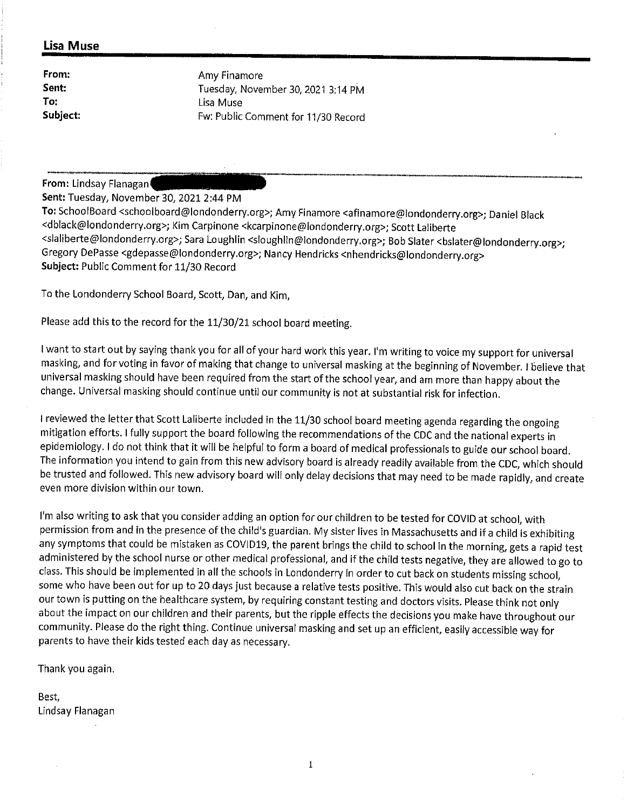From: Sent: To: Subject: Amy Finamore Tuesday, November 30, 2021 3:14 PM Lisa Muse Fw: Public Comment for 11/30 Record

From: Lindsay Flanagan

Sent: Tuesday, November 30, 2021 2:44 PM

To: SchoolBoard <schoolboard@londonderry.org>; Amy Finamore <afinamore@londonderry.org>; Daniel Black <dblack@londonderry.org>; Kim Carpinone <kcarpinone@londonderry.org>; Scott Laliberte <slaliberte@londonderry.org>; Sara Loughlin <sloughlin@londonderry.org>; Bob Slater <bslater@londonderry.org>; Gregory DePasse <gdepasse@londonderry.org>; Nancy Hendricks <nhendricks@londonderry.org> Subject: Public Comment for 11/30 Record

To the Londonderry School Board, Scott, Dan, and Kim,

Please add this to the record for the 11/30/21 school board meeting.

I want to start out by saying thank you for all of your hard work this year. I'm writing to voice my support for universal masking, and for voting in favor of making that change to universal masking at the beginning of November. I believe that universal masking should have been required from the start of the school year, and am more than happy about the change. Universal masking should continue until our community is not at substantial risk for infection.

I reviewed the letter that Scott Laliberte included in the 11/30 school board meeting agenda regarding the ongoing mitigation efforts. I fully support the board following the recommendations of the CDC and the national experts in epidemiology. I do not think that it will be helpful to form a board of medical professionals to guide our school board. The information you intend to gain from this new advisory board is already readily available from the CDC, which should be trusted and followed. This new advisory board will only delay decisions that may need to be made rapidly, and create even more division within our town.

I'm also writing to ask that you consider adding an option for our children to be tested for COVID at school, with permission from and in the presence of the child's guardian. My sister lives in Massachusetts and if a child is exhibiting any symptoms that could be mistaken as COVID19, the parent brings the child to school in the morning, gets a rapid test administered by the school nurse or other medical professional, and if the child tests negative, they are allowed to go to class. This should be implemented in all the schools in Londonderry in order to cut back on students missing school, some who have been out for up to 20 days just because a relative tests positive. This would also cut back on the strain our town is putting on the healthcare system, by requiring constant testing and doctors visits. Please think not only about the impact on our children and their parents, but the ripple effects the decisions you make have throughout our community. Please do the right thing. Continue universal masking and set up an efficient, easily accessible way for parents to have their kids tested each day as necessary.

Thank you again.

Best, Lindsay Flanagan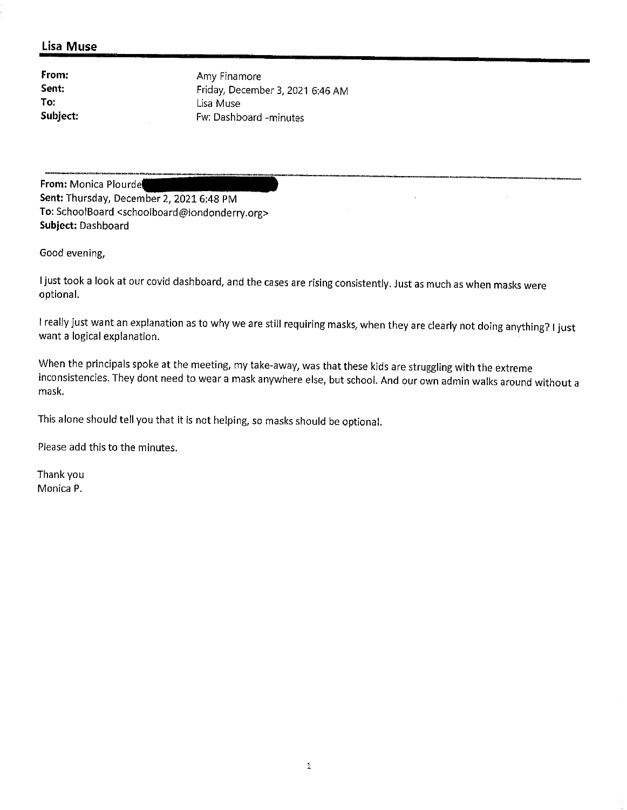From: Sent: To: Subject: Amy Finamore Friday, December 3, 2021 6:46 AM Lisa Muse Fw: Dashboard -minutes

From: Monica Plourde Sent: Thursday, December 2, 2021 6:48 PM To: SchoolBoard <schoolboard@londonderry.org> Subject: Dashboard

Good evening,

I just took a look at our covid dashboard, and the cases are rising consistently. Just as much as when masks were optional.

I really just want an explanation as to why we are still requiring masks, when they are clearly not doing anything? I just want a logical explanation.

When the principals spoke at the meeting, my take-away, was that these kids are struggling with the extreme inconsistencies. They dont need to wear a mask anywhere else, but school. And our own admin walks around without a mask.

This alone should tell you that it is not helping, so masks should be optional.

Please add this to the minutes.

Thank you Monica P.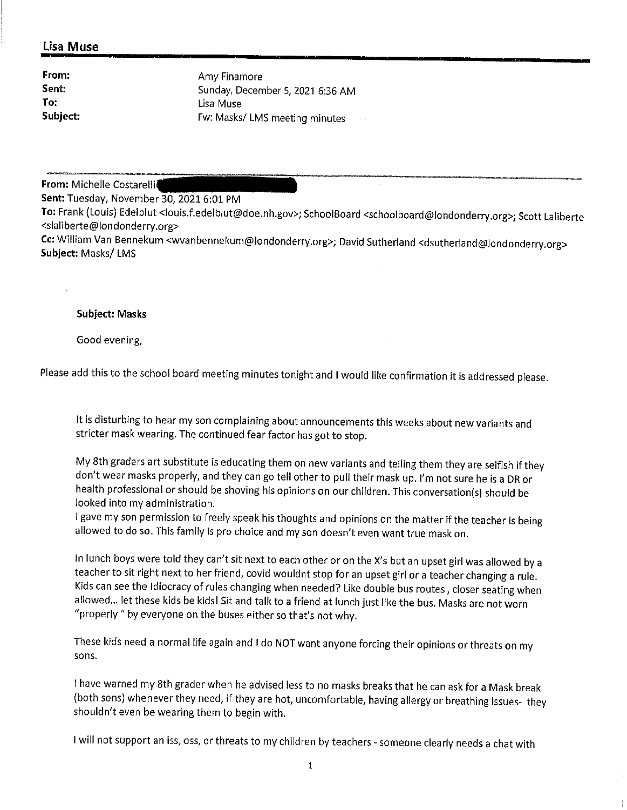From: Sent: To: Subject: Amy Finamore Sunday, December 5, 2021 6:36 AM Lisa Muse Fw: Masks/ LMS meeting minutes

From: Michelle Costarelli

Sent: Tuesday, November 30, 2021 6:01 PM

To: Frank (Louis) Edelblut <louis.f.edelblut@doe.nh.gov>; SchoolBoard <schoolboard@londonderry.org>; Scott Laliberte <slaliberte@londonderry.org>

Cc: William Van Bennekum <wvanbennekum@londonderry.org>; David Sutherland <dsutherland@londonderry.org> Subject: Masks/LMS

#### **Subject: Masks**

Good evening,

Please add this to the school board meeting minutes tonight and I would like confirmation it is addressed please.

It is disturbing to hear my son complaining about announcements this weeks about new variants and stricter mask wearing. The continued fear factor has got to stop.

My 8th graders art substitute is educating them on new variants and telling them they are selfish if they don't wear masks properly, and they can go tell other to pull their mask up. I'm not sure he is a DR or health professional or should be shoving his opinions on our children. This conversation(s) should be looked into my administration.

I gave my son permission to freely speak his thoughts and opinions on the matter if the teacher is being allowed to do so. This family is pro choice and my son doesn't even want true mask on.

in lunch boys were told they can't sit next to each other or on the X's but an upset girl was allowed by a teacher to sit right next to her friend, covid wouldnt stop for an upset girl or a teacher changing a rule. Kids can see the Idiocracy of rules changing when needed? Like double bus routes, closer seating when allowed... let these kids be kids! Sit and talk to a friend at lunch just like the bus. Masks are not worn "properly " by everyone on the buses either so that's not why.

These kids need a normal life again and I do NOT want anyone forcing their opinions or threats on my sons.

I have warned my 8th grader when he advised less to no masks breaks that he can ask for a Mask break (both sons) whenever they need, if they are hot, uncomfortable, having allergy or breathing issues- they shouldn't even be wearing them to begin with.

I will not support an iss, oss, or threats to my children by teachers - someone clearly needs a chat with

Î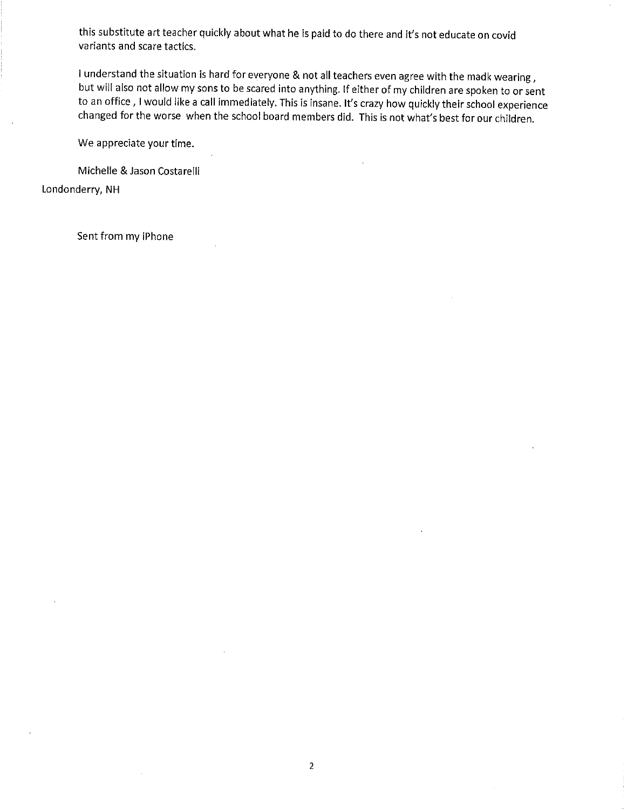this substitute art teacher quickly about what he is paid to do there and it's not educate on covid variants and scare tactics.

I understand the situation is hard for everyone & not all teachers even agree with the madk wearing, but will also not allow my sons to be scared into anything. If either of my children are spoken to or sent to an office, I would like a call immediately. This is insane. It's crazy how quickly their school experience changed for the worse when the school board members did. This is not what's best for our children.

We appreciate your time.

Michelle & Jason Costarelli

Londonderry, NH

Sent from my iPhone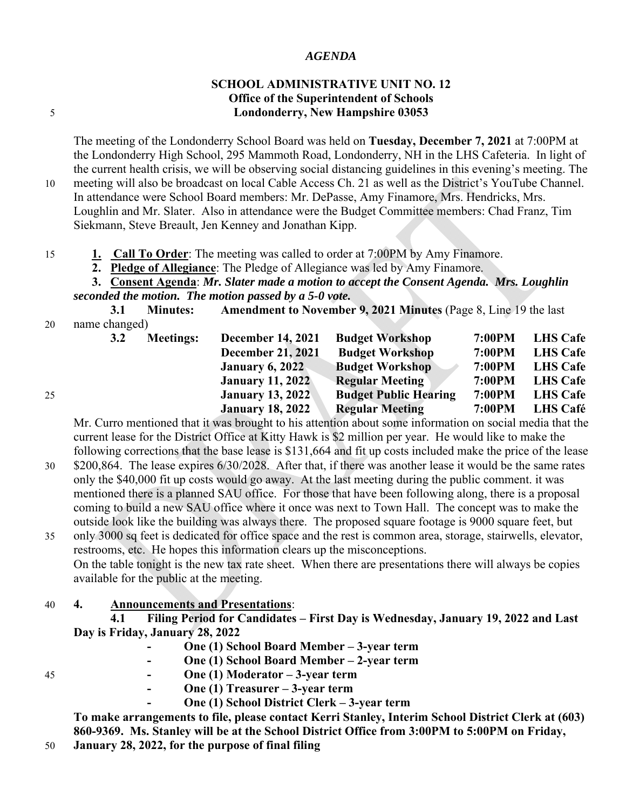# *AGENDA*

# **SCHOOL ADMINISTRATIVE UNIT NO. 12 Office of the Superintendent of Schools**  5 **Londonderry, New Hampshire 03053**

The meeting of the Londonderry School Board was held on **Tuesday, December 7, 2021** at 7:00PM at the Londonderry High School, 295 Mammoth Road, Londonderry, NH in the LHS Cafeteria. In light of the current health crisis, we will be observing social distancing guidelines in this evening's meeting. The

10 meeting will also be broadcast on local Cable Access Ch. 21 as well as the District's YouTube Channel. In attendance were School Board members: Mr. DePasse, Amy Finamore, Mrs. Hendricks, Mrs. Loughlin and Mr. Slater. Also in attendance were the Budget Committee members: Chad Franz, Tim Siekmann, Steve Breault, Jen Kenney and Jonathan Kipp.

15 **1. Call To Order**: The meeting was called to order at 7:00PM by Amy Finamore.

**2. Pledge of Allegiance**: The Pledge of Allegiance was led by Amy Finamore.

**3. Consent Agenda**: *Mr. Slater made a motion to accept the Consent Agenda. Mrs. Loughlin seconded the motion. The motion passed by a 5-0 vote.*

**3.1 Minutes:** Amendment to November 9, 2021 Minutes (Page 8, Line 19 the last

20 name changed)

|    | 3.2 | <b>Meetings:</b> | <b>December 14, 2021</b> | <b>Budget Workshop</b>       | 7:00PM | <b>LHS Cafe</b> |
|----|-----|------------------|--------------------------|------------------------------|--------|-----------------|
|    |     |                  | <b>December 21, 2021</b> | <b>Budget Workshop</b>       | 7:00PM | <b>LHS Cafe</b> |
|    |     |                  | <b>January 6, 2022</b>   | <b>Budget Workshop</b>       | 7:00PM | <b>LHS Cafe</b> |
|    |     |                  | <b>January 11, 2022</b>  | <b>Regular Meeting</b>       | 7:00PM | <b>LHS Cafe</b> |
| 25 |     |                  | <b>January 13, 2022</b>  | <b>Budget Public Hearing</b> | 7:00PM | <b>LHS Cafe</b> |
|    |     |                  | <b>January 18, 2022</b>  | <b>Regular Meeting</b>       | 7:00PM | <b>LHS Café</b> |
|    |     |                  |                          |                              |        |                 |

Mr. Curro mentioned that it was brought to his attention about some information on social media that the current lease for the District Office at Kitty Hawk is \$2 million per year. He would like to make the following corrections that the base lease is \$131,664 and fit up costs included make the price of the lease

30 \$200,864. The lease expires 6/30/2028. After that, if there was another lease it would be the same rates only the \$40,000 fit up costs would go away. At the last meeting during the public comment. it was mentioned there is a planned SAU office. For those that have been following along, there is a proposal coming to build a new SAU office where it once was next to Town Hall. The concept was to make the outside look like the building was always there. The proposed square footage is 9000 square feet, but

35 only 3000 sq feet is dedicated for office space and the rest is common area, storage, stairwells, elevator, restrooms, etc. He hopes this information clears up the misconceptions. On the table tonight is the new tax rate sheet. When there are presentations there will always be copies

available for the public at the meeting.

# 40 **4. Announcements and Presentations**:

**4.1 Filing Period for Candidates – First Day is Wednesday, January 19, 2022 and Last Day is Friday, January 28, 2022** 

- One (1) School Board Member 3-year term
- **One (1) School Board Member 2-year term**
- 45  **One (1) Moderator 3-year term** 
	- **One (1) Treasurer 3-year term**
	- **One (1) School District Clerk 3-year term**

**To make arrangements to file, please contact Kerri Stanley, Interim School District Clerk at (603) 860-9369. Ms. Stanley will be at the School District Office from 3:00PM to 5:00PM on Friday,** 

50 **January 28, 2022, for the purpose of final filing**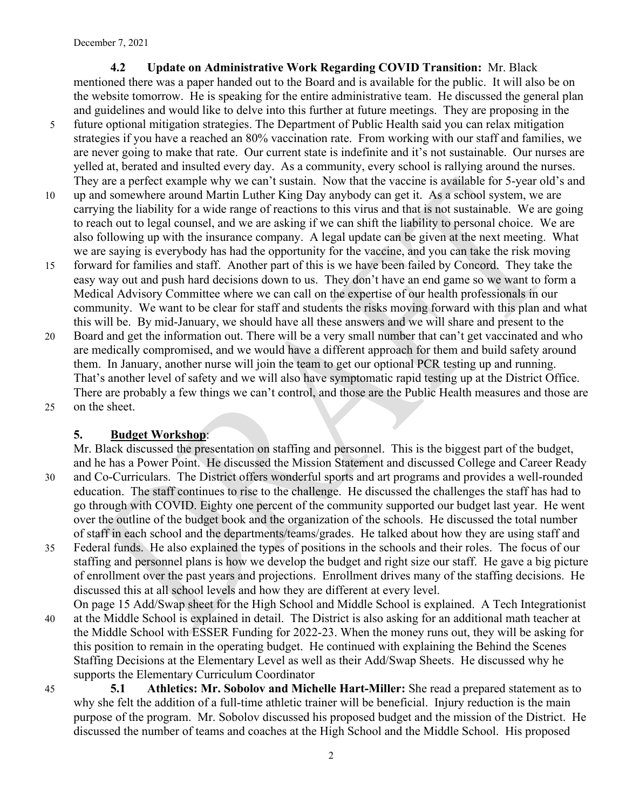**4.2 Update on Administrative Work Regarding COVID Transition:** Mr. Black mentioned there was a paper handed out to the Board and is available for the public. It will also be on the website tomorrow. He is speaking for the entire administrative team. He discussed the general plan and guidelines and would like to delve into this further at future meetings. They are proposing in the 5 future optional mitigation strategies. The Department of Public Health said you can relax mitigation

- strategies if you have a reached an 80% vaccination rate. From working with our staff and families, we are never going to make that rate. Our current state is indefinite and it's not sustainable. Our nurses are yelled at, berated and insulted every day. As a community, every school is rallying around the nurses. They are a perfect example why we can't sustain. Now that the vaccine is available for 5-year old's and
- 10 up and somewhere around Martin Luther King Day anybody can get it. As a school system, we are carrying the liability for a wide range of reactions to this virus and that is not sustainable. We are going to reach out to legal counsel, and we are asking if we can shift the liability to personal choice. We are also following up with the insurance company. A legal update can be given at the next meeting. What we are saying is everybody has had the opportunity for the vaccine, and you can take the risk moving
- 15 forward for families and staff. Another part of this is we have been failed by Concord. They take the easy way out and push hard decisions down to us. They don't have an end game so we want to form a Medical Advisory Committee where we can call on the expertise of our health professionals in our community. We want to be clear for staff and students the risks moving forward with this plan and what this will be. By mid-January, we should have all these answers and we will share and present to the
- 20 Board and get the information out. There will be a very small number that can't get vaccinated and who are medically compromised, and we would have a different approach for them and build safety around them. In January, another nurse will join the team to get our optional PCR testing up and running. That's another level of safety and we will also have symptomatic rapid testing up at the District Office. There are probably a few things we can't control, and those are the Public Health measures and those are 25 on the sheet.
- 

# **5. Budget Workshop**:

Mr. Black discussed the presentation on staffing and personnel. This is the biggest part of the budget, and he has a Power Point. He discussed the Mission Statement and discussed College and Career Ready 30 and Co-Curriculars. The District offers wonderful sports and art programs and provides a well-rounded education. The staff continues to rise to the challenge. He discussed the challenges the staff has had to go through with COVID. Eighty one percent of the community supported our budget last year. He went over the outline of the budget book and the organization of the schools. He discussed the total number of staff in each school and the departments/teams/grades. He talked about how they are using staff and

- 35 Federal funds. He also explained the types of positions in the schools and their roles. The focus of our staffing and personnel plans is how we develop the budget and right size our staff. He gave a big picture of enrollment over the past years and projections. Enrollment drives many of the staffing decisions. He discussed this at all school levels and how they are different at every level.
- On page 15 Add/Swap sheet for the High School and Middle School is explained. A Tech Integrationist 40 at the Middle School is explained in detail. The District is also asking for an additional math teacher at the Middle School with ESSER Funding for 2022-23. When the money runs out, they will be asking for this position to remain in the operating budget. He continued with explaining the Behind the Scenes Staffing Decisions at the Elementary Level as well as their Add/Swap Sheets. He discussed why he supports the Elementary Curriculum Coordinator
- 45 **5.1 Athletics: Mr. Sobolov and Michelle Hart-Miller:** She read a prepared statement as to why she felt the addition of a full-time athletic trainer will be beneficial. Injury reduction is the main purpose of the program. Mr. Sobolov discussed his proposed budget and the mission of the District. He discussed the number of teams and coaches at the High School and the Middle School. His proposed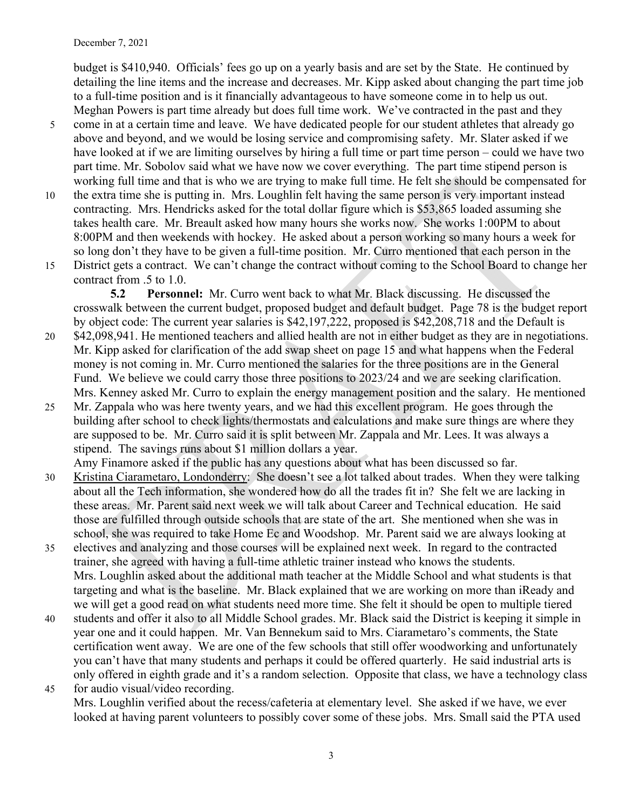budget is \$410,940. Officials' fees go up on a yearly basis and are set by the State. He continued by detailing the line items and the increase and decreases. Mr. Kipp asked about changing the part time job to a full-time position and is it financially advantageous to have someone come in to help us out. Meghan Powers is part time already but does full time work. We've contracted in the past and they

- 5 come in at a certain time and leave. We have dedicated people for our student athletes that already go above and beyond, and we would be losing service and compromising safety. Mr. Slater asked if we have looked at if we are limiting ourselves by hiring a full time or part time person – could we have two part time. Mr. Sobolov said what we have now we cover everything. The part time stipend person is working full time and that is who we are trying to make full time. He felt she should be compensated for
- 10 the extra time she is putting in. Mrs. Loughlin felt having the same person is very important instead contracting. Mrs. Hendricks asked for the total dollar figure which is \$53,865 loaded assuming she takes health care. Mr. Breault asked how many hours she works now. She works 1:00PM to about 8:00PM and then weekends with hockey. He asked about a person working so many hours a week for so long don't they have to be given a full-time position. Mr. Curro mentioned that each person in the
- 15 District gets a contract. We can't change the contract without coming to the School Board to change her contract from .5 to 1.0.

**5.2 Personnel:** Mr. Curro went back to what Mr. Black discussing. He discussed the crosswalk between the current budget, proposed budget and default budget. Page 78 is the budget report by object code: The current year salaries is \$42,197,222, proposed is \$42,208,718 and the Default is

- 20 \$42,098,941. He mentioned teachers and allied health are not in either budget as they are in negotiations. Mr. Kipp asked for clarification of the add swap sheet on page 15 and what happens when the Federal money is not coming in. Mr. Curro mentioned the salaries for the three positions are in the General Fund. We believe we could carry those three positions to 2023/24 and we are seeking clarification. Mrs. Kenney asked Mr. Curro to explain the energy management position and the salary. He mentioned
- 25 Mr. Zappala who was here twenty years, and we had this excellent program. He goes through the building after school to check lights/thermostats and calculations and make sure things are where they are supposed to be. Mr. Curro said it is split between Mr. Zappala and Mr. Lees. It was always a stipend. The savings runs about \$1 million dollars a year.

Amy Finamore asked if the public has any questions about what has been discussed so far.

- 30 Kristina Ciarametaro, Londonderry: She doesn't see a lot talked about trades. When they were talking about all the Tech information, she wondered how do all the trades fit in? She felt we are lacking in these areas. Mr. Parent said next week we will talk about Career and Technical education. He said those are fulfilled through outside schools that are state of the art. She mentioned when she was in school, she was required to take Home Ec and Woodshop. Mr. Parent said we are always looking at
- 35 electives and analyzing and those courses will be explained next week. In regard to the contracted trainer, she agreed with having a full-time athletic trainer instead who knows the students. Mrs. Loughlin asked about the additional math teacher at the Middle School and what students is that targeting and what is the baseline. Mr. Black explained that we are working on more than iReady and we will get a good read on what students need more time. She felt it should be open to multiple tiered
- 40 students and offer it also to all Middle School grades. Mr. Black said the District is keeping it simple in year one and it could happen. Mr. Van Bennekum said to Mrs. Ciarametaro's comments, the State certification went away. We are one of the few schools that still offer woodworking and unfortunately you can't have that many students and perhaps it could be offered quarterly. He said industrial arts is only offered in eighth grade and it's a random selection. Opposite that class, we have a technology class
- 45 for audio visual/video recording. Mrs. Loughlin verified about the recess/cafeteria at elementary level. She asked if we have, we ever looked at having parent volunteers to possibly cover some of these jobs. Mrs. Small said the PTA used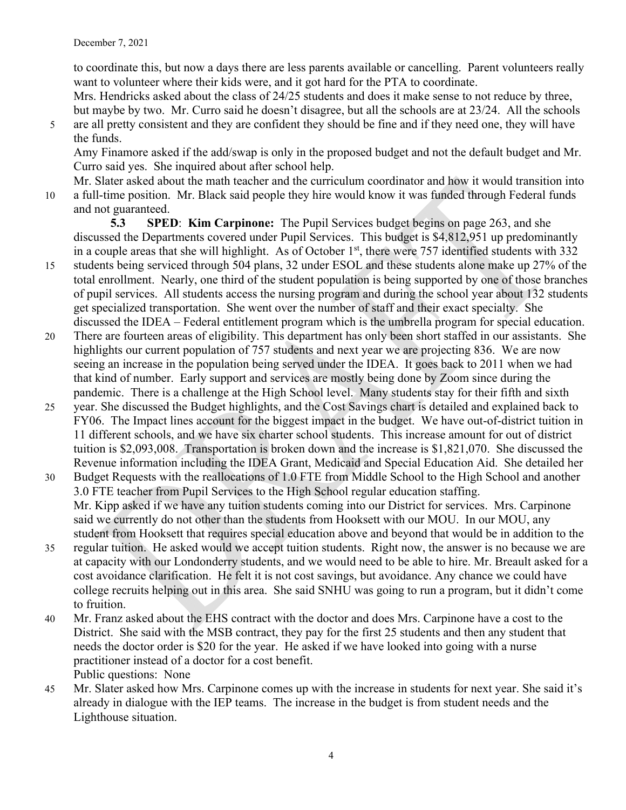to coordinate this, but now a days there are less parents available or cancelling. Parent volunteers really want to volunteer where their kids were, and it got hard for the PTA to coordinate.

Mrs. Hendricks asked about the class of 24/25 students and does it make sense to not reduce by three, but maybe by two. Mr. Curro said he doesn't disagree, but all the schools are at 23/24. All the schools

5 are all pretty consistent and they are confident they should be fine and if they need one, they will have the funds.

Amy Finamore asked if the add/swap is only in the proposed budget and not the default budget and Mr. Curro said yes. She inquired about after school help.

Mr. Slater asked about the math teacher and the curriculum coordinator and how it would transition into 10 a full-time position. Mr. Black said people they hire would know it was funded through Federal funds and not guaranteed.

**5.3 SPED**: **Kim Carpinone:** The Pupil Services budget begins on page 263, and she discussed the Departments covered under Pupil Services. This budget is \$4,812,951 up predominantly in a couple areas that she will highlight. As of October  $1<sup>st</sup>$ , there were 757 identified students with 332

- 15 students being serviced through 504 plans, 32 under ESOL and these students alone make up 27% of the total enrollment. Nearly, one third of the student population is being supported by one of those branches of pupil services. All students access the nursing program and during the school year about 132 students get specialized transportation. She went over the number of staff and their exact specialty. She discussed the IDEA – Federal entitlement program which is the umbrella program for special education.
- 20 There are fourteen areas of eligibility. This department has only been short staffed in our assistants. She highlights our current population of 757 students and next year we are projecting 836. We are now seeing an increase in the population being served under the IDEA. It goes back to 2011 when we had that kind of number. Early support and services are mostly being done by Zoom since during the pandemic. There is a challenge at the High School level. Many students stay for their fifth and sixth
- 25 year. She discussed the Budget highlights, and the Cost Savings chart is detailed and explained back to FY06. The Impact lines account for the biggest impact in the budget. We have out-of-district tuition in 11 different schools, and we have six charter school students. This increase amount for out of district tuition is \$2,093,008. Transportation is broken down and the increase is \$1,821,070. She discussed the Revenue information including the IDEA Grant, Medicaid and Special Education Aid. She detailed her
- 30 Budget Requests with the reallocations of 1.0 FTE from Middle School to the High School and another 3.0 FTE teacher from Pupil Services to the High School regular education staffing. Mr. Kipp asked if we have any tuition students coming into our District for services. Mrs. Carpinone said we currently do not other than the students from Hooksett with our MOU. In our MOU, any student from Hooksett that requires special education above and beyond that would be in addition to the
- 35 regular tuition. He asked would we accept tuition students. Right now, the answer is no because we are at capacity with our Londonderry students, and we would need to be able to hire. Mr. Breault asked for a cost avoidance clarification. He felt it is not cost savings, but avoidance. Any chance we could have college recruits helping out in this area. She said SNHU was going to run a program, but it didn't come to fruition.
- 40 Mr. Franz asked about the EHS contract with the doctor and does Mrs. Carpinone have a cost to the District. She said with the MSB contract, they pay for the first 25 students and then any student that needs the doctor order is \$20 for the year. He asked if we have looked into going with a nurse practitioner instead of a doctor for a cost benefit. Public questions: None
- 45 Mr. Slater asked how Mrs. Carpinone comes up with the increase in students for next year. She said it's already in dialogue with the IEP teams. The increase in the budget is from student needs and the Lighthouse situation.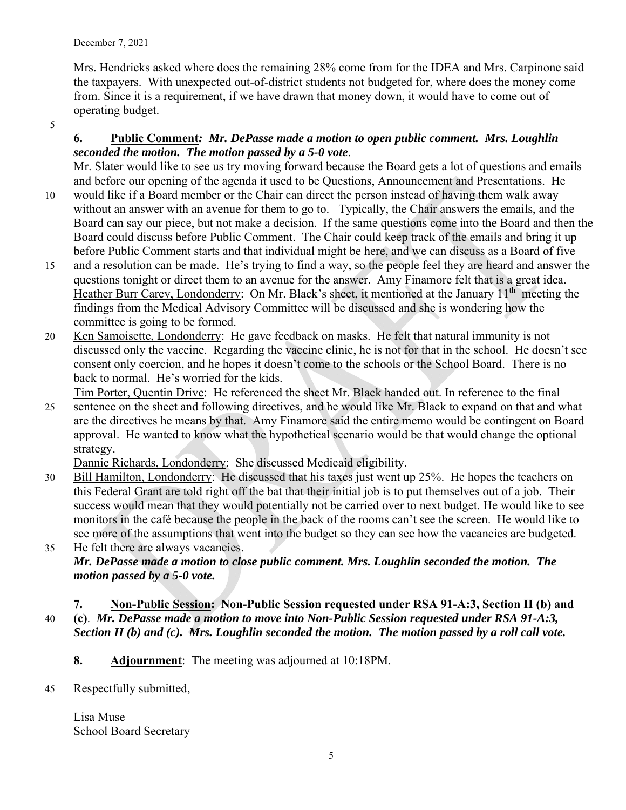Mrs. Hendricks asked where does the remaining 28% come from for the IDEA and Mrs. Carpinone said the taxpayers. With unexpected out-of-district students not budgeted for, where does the money come from. Since it is a requirement, if we have drawn that money down, it would have to come out of operating budget.

5

# **6. Public Comment***: Mr. DePasse made a motion to open public comment. Mrs. Loughlin seconded the motion. The motion passed by a 5-0 vote*.

Mr. Slater would like to see us try moving forward because the Board gets a lot of questions and emails and before our opening of the agenda it used to be Questions, Announcement and Presentations. He

- 10 would like if a Board member or the Chair can direct the person instead of having them walk away without an answer with an avenue for them to go to. Typically, the Chair answers the emails, and the Board can say our piece, but not make a decision. If the same questions come into the Board and then the Board could discuss before Public Comment. The Chair could keep track of the emails and bring it up before Public Comment starts and that individual might be here, and we can discuss as a Board of five
- 15 and a resolution can be made. He's trying to find a way, so the people feel they are heard and answer the questions tonight or direct them to an avenue for the answer. Amy Finamore felt that is a great idea. Heather Burr Carey, Londonderry: On Mr. Black's sheet, it mentioned at the January 11<sup>th</sup> meeting the findings from the Medical Advisory Committee will be discussed and she is wondering how the committee is going to be formed.
- 20 Ken Samoisette, Londonderry: He gave feedback on masks. He felt that natural immunity is not discussed only the vaccine. Regarding the vaccine clinic, he is not for that in the school. He doesn't see consent only coercion, and he hopes it doesn't come to the schools or the School Board. There is no back to normal. He's worried for the kids.

Tim Porter, Quentin Drive: He referenced the sheet Mr. Black handed out. In reference to the final

25 sentence on the sheet and following directives, and he would like Mr. Black to expand on that and what are the directives he means by that. Amy Finamore said the entire memo would be contingent on Board approval. He wanted to know what the hypothetical scenario would be that would change the optional strategy.

Dannie Richards, Londonderry: She discussed Medicaid eligibility.

30 Bill Hamilton, Londonderry: He discussed that his taxes just went up 25%. He hopes the teachers on this Federal Grant are told right off the bat that their initial job is to put themselves out of a job. Their success would mean that they would potentially not be carried over to next budget. He would like to see monitors in the café because the people in the back of the rooms can't see the screen. He would like to see more of the assumptions that went into the budget so they can see how the vacancies are budgeted.

35 He felt there are always vacancies. *Mr. DePasse made a motion to close public comment. Mrs. Loughlin seconded the motion. The motion passed by a 5-0 vote.* 

**7. Non-Public Session: Non-Public Session requested under RSA 91-A:3, Section II (b) and**  40 **(c)**. *Mr. DePasse made a motion to move into Non-Public Session requested under RSA 91-A:3, Section II (b) and (c). Mrs. Loughlin seconded the motion. The motion passed by a roll call vote.* 

- **8. Adjournment**: The meeting was adjourned at 10:18PM.
- 45 Respectfully submitted,

Lisa Muse School Board Secretary